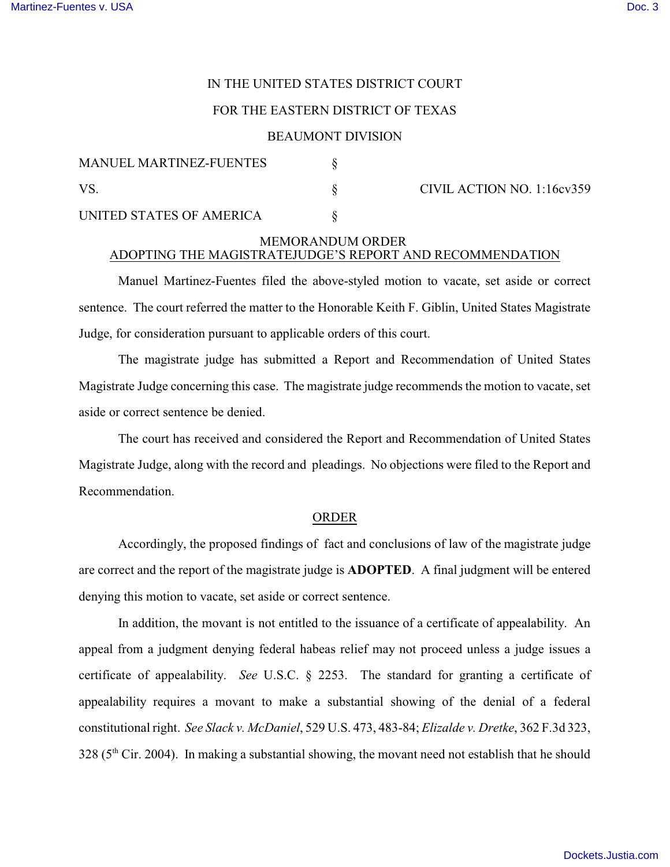# IN THE UNITED STATES DISTRICT COURT

### FOR THE EASTERN DISTRICT OF TEXAS

#### BEAUMONT DIVISION

| <b>MANUEL MARTINEZ-FUENTES</b> |  | CIVIL ACTION NO. $1:16cy359$ |
|--------------------------------|--|------------------------------|
| VS                             |  |                              |
| UNITED STATES OF AMERICA       |  |                              |

## MEMORANDUM ORDER ADOPTING THE MAGISTRATEJUDGE'S REPORT AND RECOMMENDATION

Manuel Martinez-Fuentes filed the above-styled motion to vacate, set aside or correct sentence. The court referred the matter to the Honorable Keith F. Giblin, United States Magistrate Judge, for consideration pursuant to applicable orders of this court.

The magistrate judge has submitted a Report and Recommendation of United States Magistrate Judge concerning this case. The magistrate judge recommends the motion to vacate, set aside or correct sentence be denied.

The court has received and considered the Report and Recommendation of United States Magistrate Judge, along with the record and pleadings. No objections were filed to the Report and Recommendation.

#### ORDER

Accordingly, the proposed findings of fact and conclusions of law of the magistrate judge are correct and the report of the magistrate judge is **ADOPTED**. A final judgment will be entered denying this motion to vacate, set aside or correct sentence.

In addition, the movant is not entitled to the issuance of a certificate of appealability. An appeal from a judgment denying federal habeas relief may not proceed unless a judge issues a certificate of appealability. *See* U.S.C. § 2253. The standard for granting a certificate of appealability requires a movant to make a substantial showing of the denial of a federal constitutional right. *See Slack v. McDaniel*, 529 U.S. 473, 483-84; *Elizalde v. Dretke*, 362 F.3d 323,  $328$  ( $5<sup>th</sup>$  Cir. 2004). In making a substantial showing, the movant need not establish that he should